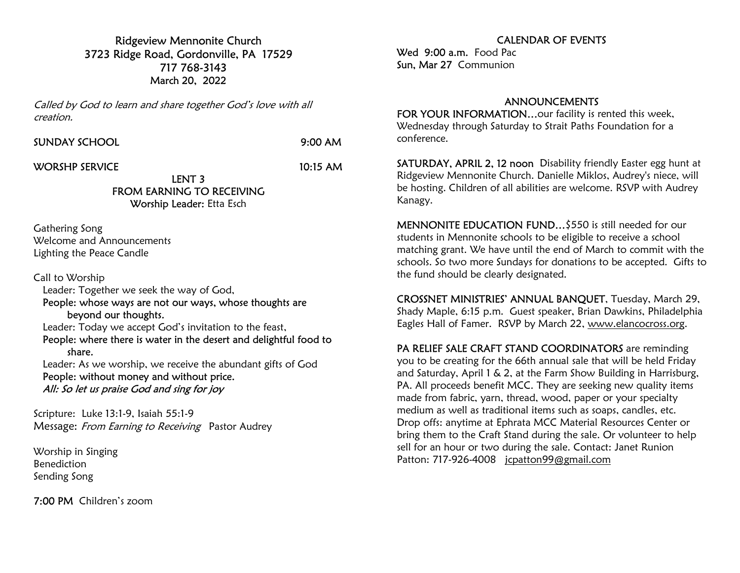Ridgeview Mennonite Church 3723 Ridge Road, Gordonville, PA 17529 717 768-3143 March 20, 2022

Called by God to learn and share together God's love with all creation.

SUNDAY SCHOOL 9:00 AM

WORSHP SERVICE 10:15 AM

## LENT 3 FROM EARNING TO RECEIVING Worship Leader: Etta Esch

Gathering Song Welcome and Announcements Lighting the Peace Candle

Call to Worship Leader: Together we seek the way of God, People: whose ways are not our ways, whose thoughts are beyond our thoughts. Leader: Today we accept God's invitation to the feast, People: where there is water in the desert and delightful food to share. Leader: As we worship, we receive the abundant gifts of God People: without money and without price.

All: So let us praise God and sing for joy

Scripture: Luke 13:1-9, Isaiah 55:1-9 Message: From Earning to Receiving Pastor Audrey

Worship in Singing Benediction Sending Song

7:00 PM Children's zoom

## CALENDAR OF EVENTS

Wed 9:00 a.m. Food Pac Sun, Mar 27 Communion

## ANNOUNCEMENTS

FOR YOUR INFORMATION...our facility is rented this week, Wednesday through Saturday to Strait Paths Foundation for a conference.

SATURDAY, APRIL 2, 12 noon Disability friendly Easter egg hunt at Ridgeview Mennonite Church. Danielle Miklos, Audrey's niece, will be hosting. Children of all abilities are welcome. RSVP with Audrey Kanagy.

MENNONITE EDUCATION FUND…\$550 is still needed for our students in Mennonite schools to be eligible to receive a school matching grant. We have until the end of March to commit with the schools. So two more Sundays for donations to be accepted. Gifts to the fund should be clearly designated.

CROSSNET MINISTRIES' ANNUAL BANQUET, Tuesday, March 29, Shady Maple, 6:15 p.m. Guest speaker, Brian Dawkins, Philadelphia Eagles Hall of Famer. RSVP by March 22, www.elancocross.org.

PA RELIEF SALE CRAFT STAND COORDINATORS are reminding you to be creating for the 66th annual sale that will be held Friday and Saturday, April 1 & 2, at the Farm Show Building in Harrisburg, PA. All proceeds benefit MCC. They are seeking new quality items made from fabric, yarn, thread, wood, paper or your specialty medium as well as traditional items such as soaps, candles, etc. Drop offs: anytime at Ephrata MCC Material Resources Center or bring them to the Craft Stand during the sale. Or volunteer to help sell for an hour or two during the sale. Contact: Janet Runion Patton: 717-926-4008 jcpatton99@gmail.com